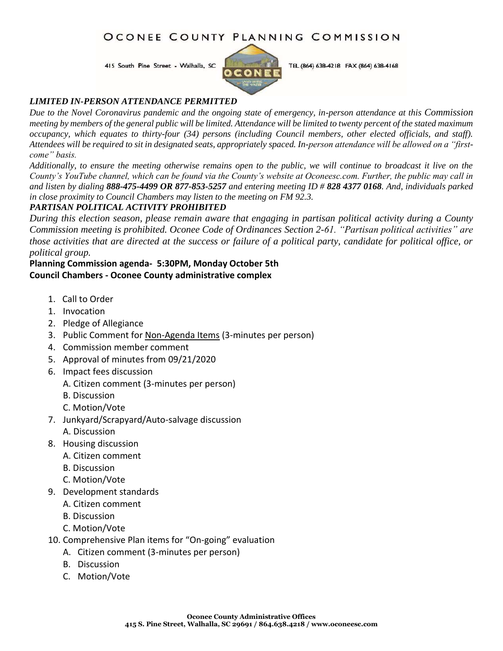## OCONEE COUNTY PLANNING COMMISSION

415 South Pine Street - Walhalla, SC



TEL (864) 638-4218 FAX (864) 638-4168

#### *LIMITED IN-PERSON ATTENDANCE PERMITTED*

*Due to the Novel Coronavirus pandemic and the ongoing state of emergency, in-person attendance at this Commission meeting by members of the general public will be limited. Attendance will be limited to twenty percent of the stated maximum occupancy, which equates to thirty-four (34) persons (including Council members, other elected officials, and staff). Attendees will be required to sit in designated seats, appropriately spaced. In-person attendance will be allowed on a "firstcome" basis.* 

*Additionally, to ensure the meeting otherwise remains open to the public, we will continue to broadcast it live on the County's YouTube channel, which can be found via the County's website at Oconeesc.com. Further, the public may call in and listen by dialing 888-475-4499 OR 877-853-5257 and entering meeting ID # 828 4377 0168. And, individuals parked in close proximity to Council Chambers may listen to the meeting on FM 92.3.* 

#### *PARTISAN POLITICAL ACTIVITY PROHIBITED*

*During this election season, please remain aware that engaging in partisan political activity during a County Commission meeting is prohibited. Oconee Code of Ordinances Section 2-61. "Partisan political activities" are those activities that are directed at the success or failure of a political party, candidate for political office, or political group.*

#### **Planning Commission agenda- 5:30PM, Monday October 5th Council Chambers - Oconee County administrative complex**

- 1. Call to Order
- 1. Invocation
- 2. Pledge of Allegiance
- 3. Public Comment for Non-Agenda Items (3-minutes per person)
- 4. Commission member comment
- 5. Approval of minutes from 09/21/2020
- 6. Impact fees discussion
	- A. Citizen comment (3-minutes per person)
	- B. Discussion
	- C. Motion/Vote
- 7. Junkyard/Scrapyard/Auto-salvage discussion
	- A. Discussion
- 8. Housing discussion
	- A. Citizen comment
	- B. Discussion
	- C. Motion/Vote
- 9. Development standards
	- A. Citizen comment
	- B. Discussion
	- C. Motion/Vote
- 10. Comprehensive Plan items for "On-going" evaluation
	- A. Citizen comment (3-minutes per person)
	- B. Discussion
	- C. Motion/Vote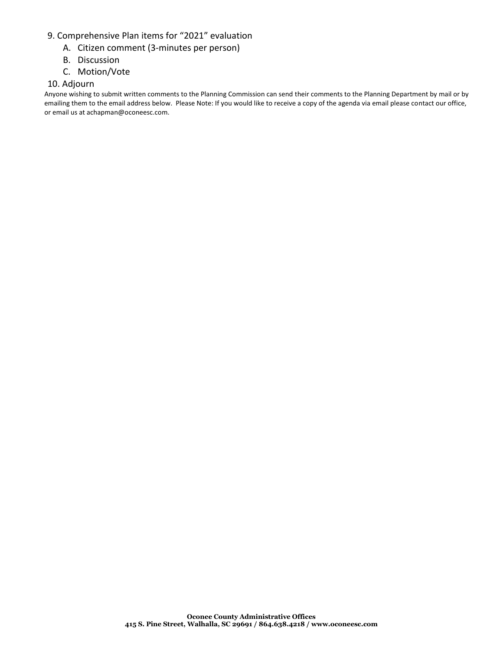#### 9. Comprehensive Plan items for "2021" evaluation

- A. Citizen comment (3-minutes per person)
- B. Discussion
- C. Motion/Vote

#### 10. Adjourn

Anyone wishing to submit written comments to the Planning Commission can send their comments to the Planning Department by mail or by emailing them to the email address below. Please Note: If you would like to receive a copy of the agenda via email please contact our office, or email us at achapman@oconeesc.com.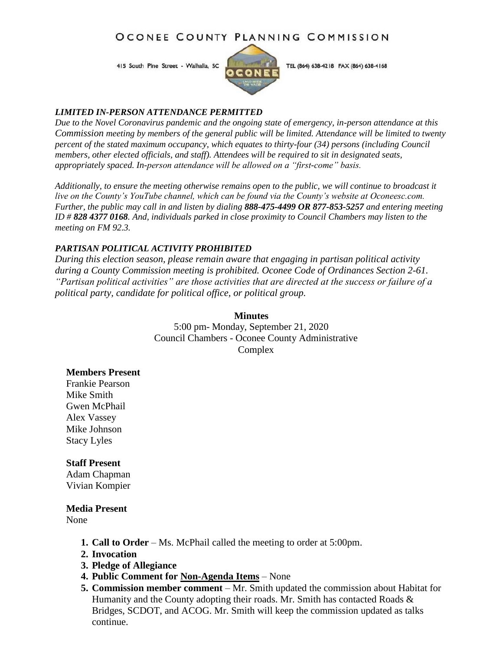### OCONEE COUNTY PLANNING COMMISSION

415 South Pine Street - Walhalla, SC



TEL (864) 638-4218 FAX (864) 638-4168

#### *LIMITED IN-PERSON ATTENDANCE PERMITTED*

*Due to the Novel Coronavirus pandemic and the ongoing state of emergency, in-person attendance at this Commission meeting by members of the general public will be limited. Attendance will be limited to twenty percent of the stated maximum occupancy, which equates to thirty-four (34) persons (including Council members, other elected officials, and staff). Attendees will be required to sit in designated seats, appropriately spaced. In-person attendance will be allowed on a "first-come" basis.* 

*Additionally, to ensure the meeting otherwise remains open to the public, we will continue to broadcast it live on the County's YouTube channel, which can be found via the County's website at Oconeesc.com. Further, the public may call in and listen by dialing 888-475-4499 OR 877-853-5257 and entering meeting ID # 828 4377 0168. And, individuals parked in close proximity to Council Chambers may listen to the meeting on FM 92.3.* 

#### *PARTISAN POLITICAL ACTIVITY PROHIBITED*

*During this election season, please remain aware that engaging in partisan political activity during a County Commission meeting is prohibited. Oconee Code of Ordinances Section 2-61. "Partisan political activities" are those activities that are directed at the success or failure of a political party, candidate for political office, or political group.*

#### **Minutes**

5:00 pm- Monday, September 21, 2020 Council Chambers - Oconee County Administrative Complex

#### **Members Present**

Frankie Pearson Mike Smith Gwen McPhail Alex Vassey Mike Johnson Stacy Lyles

#### **Staff Present**

Adam Chapman Vivian Kompier

#### **Media Present**

None

- **1. Call to Order** Ms. McPhail called the meeting to order at 5:00pm.
- **2. Invocation**
- **3. Pledge of Allegiance**
- **4. Public Comment for Non-Agenda Items** None
- **5. Commission member comment** Mr. Smith updated the commission about Habitat for Humanity and the County adopting their roads. Mr. Smith has contacted Roads & Bridges, SCDOT, and ACOG. Mr. Smith will keep the commission updated as talks continue.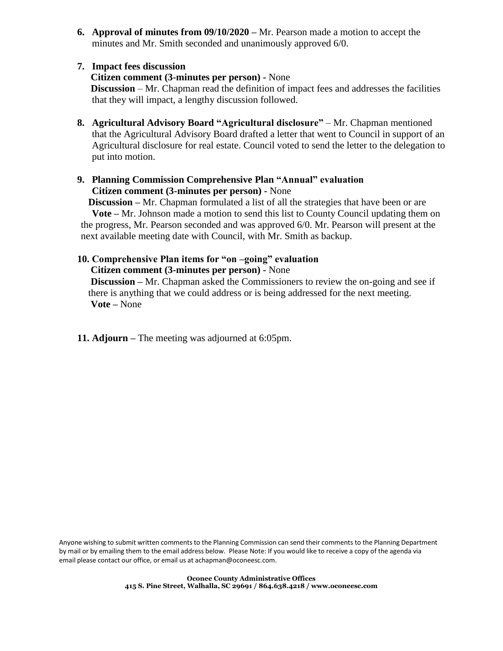**6. Approval of minutes from 09/10/2020 –** Mr. Pearson made a motion to accept the minutes and Mr. Smith seconded and unanimously approved 6/0.

#### **7. Impact fees discussion**

**Citizen comment (3-minutes per person) -** None

**Discussion** – Mr. Chapman read the definition of impact fees and addresses the facilities that they will impact, a lengthy discussion followed.

- **8. Agricultural Advisory Board "Agricultural disclosure"** Mr. Chapman mentioned that the Agricultural Advisory Board drafted a letter that went to Council in support of an Agricultural disclosure for real estate. Council voted to send the letter to the delegation to put into motion.
- **9. Planning Commission Comprehensive Plan "Annual" evaluation Citizen comment (3-minutes per person) -** None

**Discussion –** Mr. Chapman formulated a list of all the strategies that have been or are **Vote –** Mr. Johnson made a motion to send this list to County Council updating them on the progress, Mr. Pearson seconded and was approved 6/0. Mr. Pearson will present at the next available meeting date with Council, with Mr. Smith as backup.

**10. Comprehensive Plan items for "on –going" evaluation Citizen comment (3-minutes per person) -** None

**Discussion –** Mr. Chapman asked the Commissioners to review the on-going and see if there is anything that we could address or is being addressed for the next meeting. **Vote –** None

**11. Adjourn –** The meeting was adjourned at 6:05pm.

Anyone wishing to submit written comments to the Planning Commission can send their comments to the Planning Department by mail or by emailing them to the email address below. Please Note: If you would like to receive a copy of the agenda via email please contact our office, or email us at [achapman@oconeesc.com.](mailto:achapman@oconeesc.com)

> **Oconee County Administrative Offices 415 S. Pine Street, Walhalla, SC 29691 / 864.638.4218 / www.oconeesc.com**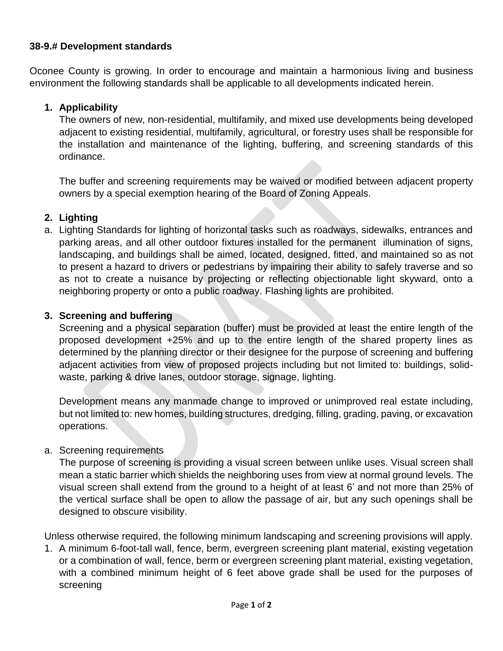### **38-9.# Development standards**

Oconee County is growing. In order to encourage and maintain a harmonious living and business environment the following standards shall be applicable to all developments indicated herein.

### **1. Applicability**

The owners of new, non-residential, multifamily, and mixed use developments being developed adjacent to existing residential, multifamily, agricultural, or forestry uses shall be responsible for the installation and maintenance of the lighting, buffering, and screening standards of this ordinance.

The buffer and screening requirements may be waived or modified between adjacent property owners by a special exemption hearing of the Board of Zoning Appeals.

#### **2. Lighting**

a. Lighting Standards for lighting of horizontal tasks such as roadways, sidewalks, entrances and parking areas, and all other outdoor fixtures installed for the permanent illumination of signs, landscaping, and buildings shall be aimed, located, designed, fitted, and maintained so as not to present a hazard to drivers or pedestrians by impairing their ability to safely traverse and so as not to create a nuisance by projecting or reflecting objectionable light skyward, onto a neighboring property or onto a public roadway. Flashing lights are prohibited.

#### **3. Screening and buffering**

Screening and a physical separation (buffer) must be provided at least the entire length of the proposed development +25% and up to the entire length of the shared property lines as determined by the planning director or their designee for the purpose of screening and buffering adjacent activities from view of proposed projects including but not limited to: buildings, solidwaste, parking & drive lanes, outdoor storage, signage, lighting.

Development means any manmade change to improved or unimproved real estate including, but not limited to: new homes, building structures, dredging, filling, grading, paving, or excavation operations.

#### a. Screening requirements

The purpose of screening is providing a visual screen between unlike uses. Visual screen shall mean a static barrier which shields the neighboring uses from view at normal ground levels. The visual screen shall extend from the ground to a height of at least 6' and not more than 25% of the vertical surface shall be open to allow the passage of air, but any such openings shall be designed to obscure visibility.

Unless otherwise required, the following minimum landscaping and screening provisions will apply.

1. A minimum 6-foot-tall wall, fence, berm, evergreen screening plant material, existing vegetation or a combination of wall, fence, berm or evergreen screening plant material, existing vegetation, with a combined minimum height of 6 feet above grade shall be used for the purposes of screening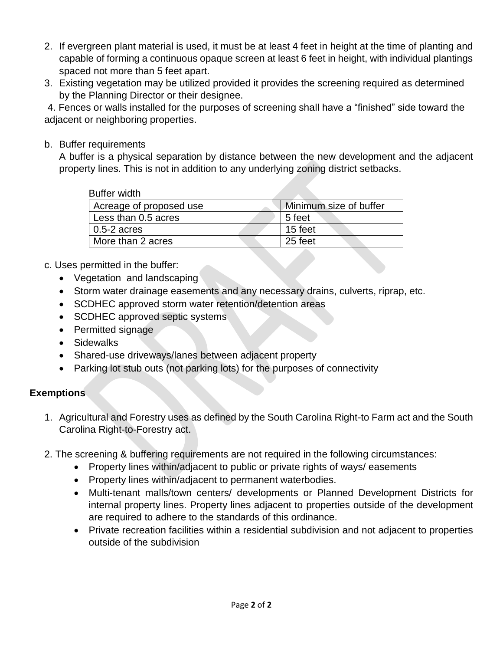- 2. If evergreen plant material is used, it must be at least 4 feet in height at the time of planting and capable of forming a continuous opaque screen at least 6 feet in height, with individual plantings spaced not more than 5 feet apart.
- 3. Existing vegetation may be utilized provided it provides the screening required as determined by the Planning Director or their designee.

4. Fences or walls installed for the purposes of screening shall have a "finished" side toward the adjacent or neighboring properties.

### b. Buffer requirements

A buffer is a physical separation by distance between the new development and the adjacent property lines. This is not in addition to any underlying zoning district setbacks.

#### Buffer width

| Acreage of proposed use | Minimum size of buffer |
|-------------------------|------------------------|
| Less than 0.5 acres     | 5 feet                 |
| $0.5-2$ acres           | 15 feet                |
| More than 2 acres       | 25 feet                |

#### c. Uses permitted in the buffer:

- Vegetation and landscaping
- Storm water drainage easements and any necessary drains, culverts, riprap, etc.
- SCDHEC approved storm water retention/detention areas
- SCDHEC approved septic systems
- Permitted signage
- Sidewalks
- Shared-use driveways/lanes between adjacent property
- Parking lot stub outs (not parking lots) for the purposes of connectivity

### **Exemptions**

- 1. Agricultural and Forestry uses as defined by the South Carolina Right-to Farm act and the South Carolina Right-to-Forestry act.
- 2. The screening & buffering requirements are not required in the following circumstances:
	- Property lines within/adjacent to public or private rights of ways/ easements
	- Property lines within/adjacent to permanent waterbodies.
	- Multi-tenant malls/town centers/ developments or Planned Development Districts for internal property lines. Property lines adjacent to properties outside of the development are required to adhere to the standards of this ordinance.
	- Private recreation facilities within a residential subdivision and not adjacent to properties outside of the subdivision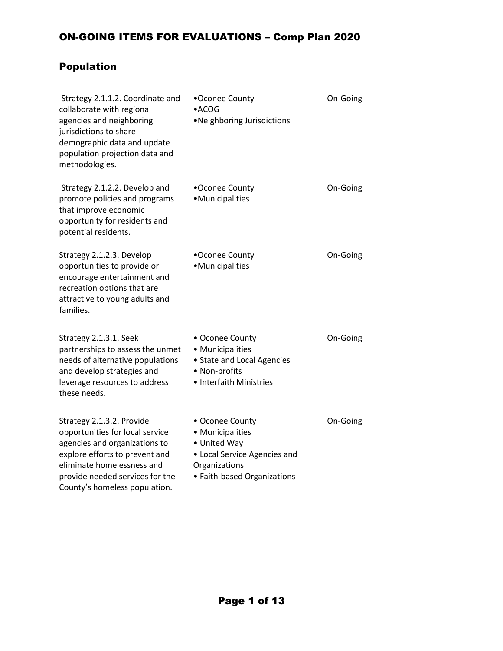# Population

| Strategy 2.1.1.2. Coordinate and<br>collaborate with regional<br>agencies and neighboring<br>jurisdictions to share<br>demographic data and update<br>population projection data and<br>methodologies.                            | •Oconee County<br>$\bullet$ ACOG<br>•Neighboring Jurisdictions                                                                      | On-Going |
|-----------------------------------------------------------------------------------------------------------------------------------------------------------------------------------------------------------------------------------|-------------------------------------------------------------------------------------------------------------------------------------|----------|
| Strategy 2.1.2.2. Develop and<br>promote policies and programs<br>that improve economic<br>opportunity for residents and<br>potential residents.                                                                                  | •Oconee County<br>•Municipalities                                                                                                   | On-Going |
| Strategy 2.1.2.3. Develop<br>opportunities to provide or<br>encourage entertainment and<br>recreation options that are<br>attractive to young adults and<br>families.                                                             | •Oconee County<br>·Municipalities                                                                                                   | On-Going |
| Strategy 2.1.3.1. Seek<br>partnerships to assess the unmet<br>needs of alternative populations<br>and develop strategies and<br>leverage resources to address<br>these needs.                                                     | • Oconee County<br>• Municipalities<br>• State and Local Agencies<br>• Non-profits<br>• Interfaith Ministries                       | On-Going |
| Strategy 2.1.3.2. Provide<br>opportunities for local service<br>agencies and organizations to<br>explore efforts to prevent and<br>eliminate homelessness and<br>provide needed services for the<br>County's homeless population. | • Oconee County<br>• Municipalities<br>• United Way<br>• Local Service Agencies and<br>Organizations<br>• Faith-based Organizations | On-Going |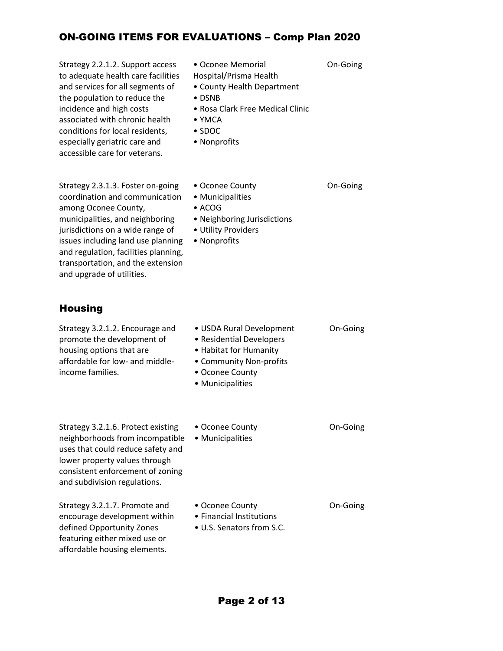• DSNB

• YMCA • SDOC • Nonprofits

• Oconee Memorial Hospital/Prisma Health • County Health Department

• Rosa Clark Free Medical Clinic

Strategy 2.2.1.2. Support access to adequate health care facilities and services for all segments of the population to reduce the incidence and high costs associated with chronic health conditions for local residents, especially geriatric care and accessible care for veterans.

Strategy 2.3.1.3. Foster on-going coordination and communication among Oconee County, municipalities, and neighboring jurisdictions on a wide range of issues including land use planning and regulation, facilities planning, transportation, and the extension and upgrade of utilities.

### **Housing**

Strategy 3.2.1.2. Encourage and promote the development of housing options that are affordable for low- and middleincome families.

- Oconee County
- Municipalities
- ACOG
- Neighboring Jurisdictions
- Utility Providers
- Nonprofits

- USDA Rural Development On-Going
- Residential Developers
- Habitat for Humanity
- Community Non-profits
- Oconee County

Strategy 3.2.1.6. Protect existing neighborhoods from incompatible uses that could reduce safety and lower property values through consistent enforcement of zoning and subdivision regulations.

Strategy 3.2.1.7. Promote and encourage development within defined Opportunity Zones featuring either mixed use or affordable housing elements.

- Oconee County
- Financial Institutions
- U.S. Senators from S.C.
- 
- 
- Municipalities

• Oconee County • Municipalities

Page 2 of 13

On-Going

On-Going

On-Going

On-Going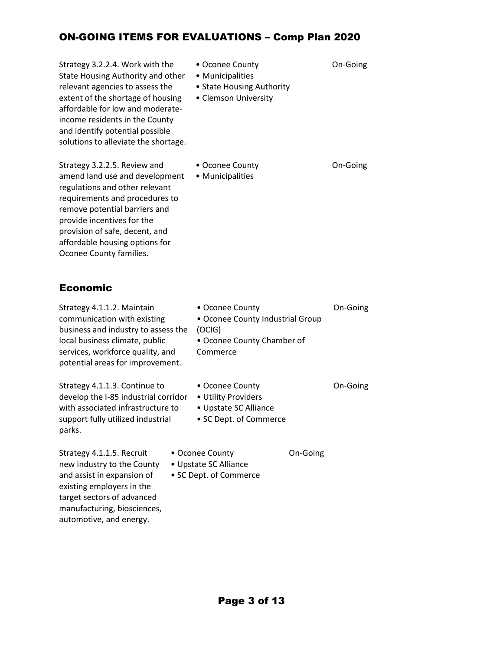| Strategy 3.2.2.4. Work with the<br>State Housing Authority and other<br>relevant agencies to assess the<br>extent of the shortage of housing<br>affordable for low and moderate-<br>income residents in the County<br>and identify potential possible<br>solutions to alleviate the shortage.    | • Oconee County<br>• Municipalities<br>• State Housing Authority<br>• Clemson University                | On-Going |
|--------------------------------------------------------------------------------------------------------------------------------------------------------------------------------------------------------------------------------------------------------------------------------------------------|---------------------------------------------------------------------------------------------------------|----------|
| Strategy 3.2.2.5. Review and<br>amend land use and development<br>regulations and other relevant<br>requirements and procedures to<br>remove potential barriers and<br>provide incentives for the<br>provision of safe, decent, and<br>affordable housing options for<br>Oconee County families. | • Oconee County<br>• Municipalities                                                                     | On-Going |
| <b>Economic</b>                                                                                                                                                                                                                                                                                  |                                                                                                         |          |
| Strategy 4.1.1.2. Maintain<br>communication with existing<br>business and industry to assess the<br>local business climate, public<br>services, workforce quality, and<br>potential areas for improvement.                                                                                       | • Oconee County<br>• Oconee County Industrial Group<br>(OCIG)<br>• Oconee County Chamber of<br>Commerce | On-Going |
| Strategy 4.1.1.3. Continue to<br>develop the I-85 industrial corridor<br>with associated infrastructure to                                                                                                                                                                                       | • Oconee County<br>• Utility Providers<br>• Upstate SC Alliance                                         | On-Going |

- Upstate SC Alliance
- SC Dept. of Commerce
- Strategy 4.1.1.5. Recruit new industry to the County • Upstate SC Alliance and assist in expansion of existing employers in the target sectors of advanced manufacturing, biosciences, automotive, and energy.

support fully utilized industrial

parks.

- Oconee County
	-

On-Going

• SC Dept. of Commerce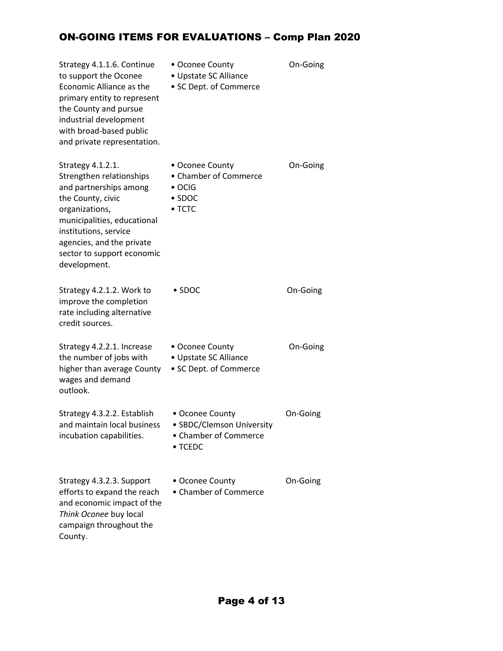| Strategy 4.1.1.6. Continue<br>to support the Oconee<br>Economic Alliance as the<br>primary entity to represent<br>the County and pursue<br>industrial development<br>with broad-based public<br>and private representation.                       | • Oconee County<br>• Upstate SC Alliance<br>• SC Dept. of Commerce                             | On-Going |
|---------------------------------------------------------------------------------------------------------------------------------------------------------------------------------------------------------------------------------------------------|------------------------------------------------------------------------------------------------|----------|
| Strategy 4.1.2.1.<br>Strengthen relationships<br>and partnerships among<br>the County, civic<br>organizations,<br>municipalities, educational<br>institutions, service<br>agencies, and the private<br>sector to support economic<br>development. | • Oconee County<br>• Chamber of Commerce<br>$\bullet$ OCIG<br>$\bullet$ SDOC<br>$\bullet$ TCTC | On-Going |
| Strategy 4.2.1.2. Work to<br>improve the completion<br>rate including alternative<br>credit sources.                                                                                                                                              | $\bullet$ SDOC                                                                                 | On-Going |
| Strategy 4.2.2.1. Increase<br>the number of jobs with<br>higher than average County<br>wages and demand<br>outlook.                                                                                                                               | • Oconee County<br>• Upstate SC Alliance<br>• SC Dept. of Commerce                             | On-Going |
| Strategy 4.3.2.2. Establish<br>and maintain local business<br>incubation capabilities.                                                                                                                                                            | • Oconee County<br>· SBDC/Clemson University<br>• Chamber of Commerce<br>• TCEDC               | On-Going |
| Strategy 4.3.2.3. Support<br>efforts to expand the reach<br>and economic impact of the<br>Think Oconee buy local<br>campaign throughout the<br>County.                                                                                            | • Oconee County<br>• Chamber of Commerce                                                       | On-Going |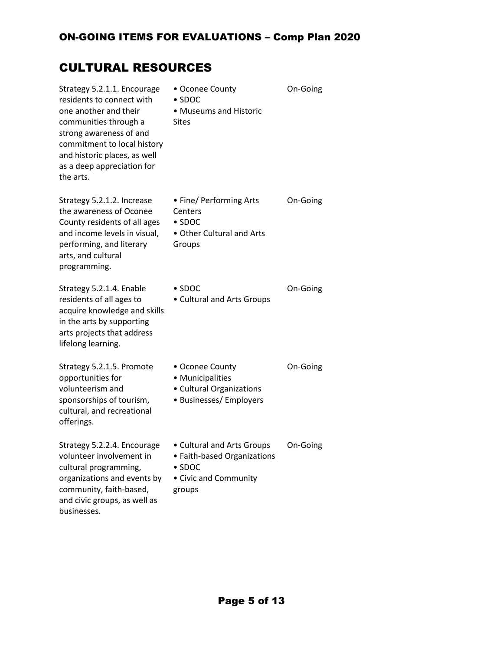# CULTURAL RESOURCES

businesses.

| Strategy 5.2.1.1. Encourage<br>residents to connect with<br>one another and their<br>communities through a<br>strong awareness of and<br>commitment to local history<br>and historic places, as well<br>as a deep appreciation for<br>the arts. | • Oconee County<br>$\bullet$ SDOC<br>• Museums and Historic<br>Sites                                           | On-Going |
|-------------------------------------------------------------------------------------------------------------------------------------------------------------------------------------------------------------------------------------------------|----------------------------------------------------------------------------------------------------------------|----------|
| Strategy 5.2.1.2. Increase<br>the awareness of Oconee<br>County residents of all ages<br>and income levels in visual,<br>performing, and literary<br>arts, and cultural<br>programming.                                                         | • Fine/ Performing Arts<br>Centers<br>$\bullet$ SDOC<br>• Other Cultural and Arts<br>Groups                    | On-Going |
| Strategy 5.2.1.4. Enable<br>residents of all ages to<br>acquire knowledge and skills<br>in the arts by supporting<br>arts projects that address<br>lifelong learning.                                                                           | $\bullet$ SDOC<br>• Cultural and Arts Groups                                                                   | On-Going |
| Strategy 5.2.1.5. Promote<br>opportunities for<br>volunteerism and<br>sponsorships of tourism,<br>cultural, and recreational<br>offerings.                                                                                                      | • Oconee County<br>• Municipalities<br>• Cultural Organizations<br>· Businesses/ Employers                     | On-Going |
| Strategy 5.2.2.4. Encourage<br>volunteer involvement in<br>cultural programming,<br>organizations and events by<br>community, faith-based,<br>and civic groups, as well as                                                                      | • Cultural and Arts Groups<br>• Faith-based Organizations<br>$\bullet$ SDOC<br>• Civic and Community<br>groups | On-Going |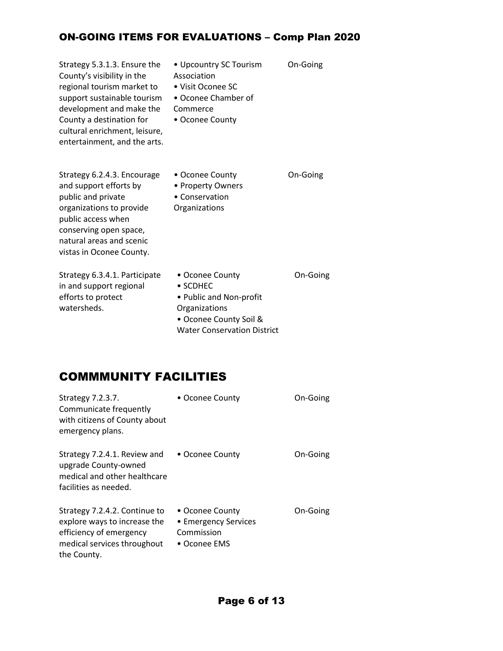| Strategy 5.3.1.3. Ensure the<br>County's visibility in the<br>regional tourism market to<br>support sustainable tourism<br>development and make the<br>County a destination for<br>cultural enrichment, leisure,<br>entertainment, and the arts. | • Upcountry SC Tourism<br>Association<br>• Visit Oconee SC<br>• Oconee Chamber of<br>Commerce<br>• Oconee County                        | On-Going |
|--------------------------------------------------------------------------------------------------------------------------------------------------------------------------------------------------------------------------------------------------|-----------------------------------------------------------------------------------------------------------------------------------------|----------|
| Strategy 6.2.4.3. Encourage<br>and support efforts by<br>public and private<br>organizations to provide<br>public access when<br>conserving open space,<br>natural areas and scenic<br>vistas in Oconee County.                                  | • Oconee County<br>• Property Owners<br>• Conservation<br>Organizations                                                                 | On-Going |
| Strategy 6.3.4.1. Participate<br>in and support regional<br>efforts to protect<br>watersheds.                                                                                                                                                    | • Oconee County<br>• SCDHEC<br>• Public and Non-profit<br>Organizations<br>• Oconee County Soil &<br><b>Water Conservation District</b> | On-Going |

# COMMMUNITY FACILITIES

| Strategy 7.2.3.7.<br>Communicate frequently<br>with citizens of County about<br>emergency plans.                                       | • Oconee County                                                               | On-Going |
|----------------------------------------------------------------------------------------------------------------------------------------|-------------------------------------------------------------------------------|----------|
| Strategy 7.2.4.1. Review and<br>upgrade County-owned<br>medical and other healthcare<br>facilities as needed.                          | • Oconee County                                                               | On-Going |
| Strategy 7.2.4.2. Continue to<br>explore ways to increase the<br>efficiency of emergency<br>medical services throughout<br>the County. | • Oconee County<br>• Emergency Services<br>Commission<br>$\bullet$ Oconee EMS | On-Going |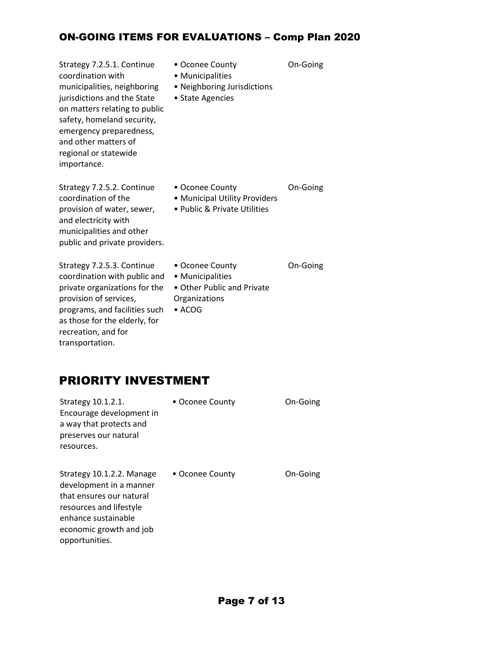On-Going

On-Going

On-Going

Strategy 7.2.5.1. Continue coordination with municipalities, neighboring jurisdictions and the State on matters relating to public safety, homeland security, emergency preparedness, and other matters of regional or statewide importance. • Oconee County • Municipalities • Neighboring Jurisdictions • State Agencies

Strategy 7.2.5.2. Continue coordination of the provision of water, sewer, and electricity with municipalities and other public and private providers.

Strategy 7.2.5.3. Continue coordination with public and • Municipalities private organizations for the provision of services, programs, and facilities such • ACOG as those for the elderly, for recreation, and for transportation.

- Oconee County
- Municipal Utility Providers
- Public & Private Utilities
- Oconee County
- 
- Other Public and Private Organizations
- 

## PRIORITY INVESTMENT

| Strategy 10.1.2.1.<br>Encourage development in<br>a way that protects and<br>preserves our natural<br>resources.                                                                | • Oconee County | On-Going |
|---------------------------------------------------------------------------------------------------------------------------------------------------------------------------------|-----------------|----------|
| Strategy 10.1.2.2. Manage<br>development in a manner<br>that ensures our natural<br>resources and lifestyle<br>enhance sustainable<br>economic growth and job<br>opportunities. | • Oconee County | On-Going |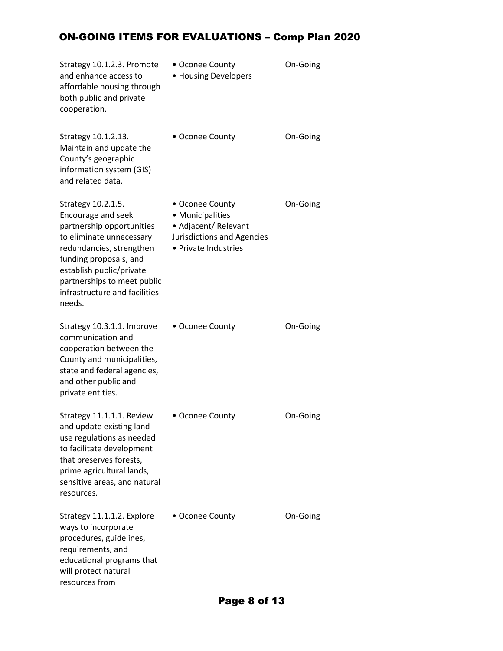| Strategy 10.1.2.3. Promote<br>and enhance access to<br>affordable housing through<br>both public and private<br>cooperation.                                                                                                                                  | • Oconee County<br>• Housing Developers                                                                           | On-Going |
|---------------------------------------------------------------------------------------------------------------------------------------------------------------------------------------------------------------------------------------------------------------|-------------------------------------------------------------------------------------------------------------------|----------|
| Strategy 10.1.2.13.<br>Maintain and update the<br>County's geographic<br>information system (GIS)<br>and related data.                                                                                                                                        | • Oconee County                                                                                                   | On-Going |
| Strategy 10.2.1.5.<br>Encourage and seek<br>partnership opportunities<br>to eliminate unnecessary<br>redundancies, strengthen<br>funding proposals, and<br>establish public/private<br>partnerships to meet public<br>infrastructure and facilities<br>needs. | • Oconee County<br>• Municipalities<br>• Adjacent/ Relevant<br>Jurisdictions and Agencies<br>• Private Industries | On-Going |
| Strategy 10.3.1.1. Improve<br>communication and<br>cooperation between the<br>County and municipalities,<br>state and federal agencies,<br>and other public and<br>private entities.                                                                          | • Oconee County                                                                                                   | On-Going |
| Strategy 11.1.1.1. Review<br>and update existing land<br>use regulations as needed<br>to facilitate development<br>that preserves forests,<br>prime agricultural lands,<br>sensitive areas, and natural<br>resources.                                         | • Oconee County                                                                                                   | On-Going |
| Strategy 11.1.1.2. Explore<br>ways to incorporate<br>procedures, guidelines,<br>requirements, and<br>educational programs that<br>will protect natural<br>resources from                                                                                      | • Oconee County                                                                                                   | On-Going |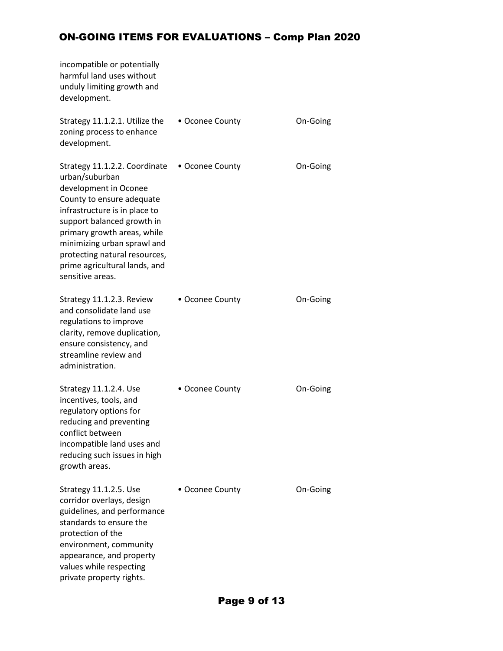| incompatible or potentially<br>harmful land uses without<br>unduly limiting growth and<br>development.                                                                                                                                                                                                                   |                 |          |
|--------------------------------------------------------------------------------------------------------------------------------------------------------------------------------------------------------------------------------------------------------------------------------------------------------------------------|-----------------|----------|
| Strategy 11.1.2.1. Utilize the<br>zoning process to enhance<br>development.                                                                                                                                                                                                                                              | • Oconee County | On-Going |
| Strategy 11.1.2.2. Coordinate<br>urban/suburban<br>development in Oconee<br>County to ensure adequate<br>infrastructure is in place to<br>support balanced growth in<br>primary growth areas, while<br>minimizing urban sprawl and<br>protecting natural resources,<br>prime agricultural lands, and<br>sensitive areas. | • Oconee County | On-Going |
| Strategy 11.1.2.3. Review<br>and consolidate land use<br>regulations to improve<br>clarity, remove duplication,<br>ensure consistency, and<br>streamline review and<br>administration.                                                                                                                                   | • Oconee County | On-Going |
| Strategy 11.1.2.4. Use<br>incentives, tools, and<br>regulatory options for<br>reducing and preventing<br>conflict between<br>incompatible land uses and<br>reducing such issues in high<br>growth areas.                                                                                                                 | • Oconee County | On-Going |
| Strategy 11.1.2.5. Use<br>corridor overlays, design<br>guidelines, and performance<br>standards to ensure the<br>protection of the<br>environment, community<br>appearance, and property<br>values while respecting<br>private property rights.                                                                          | • Oconee County | On-Going |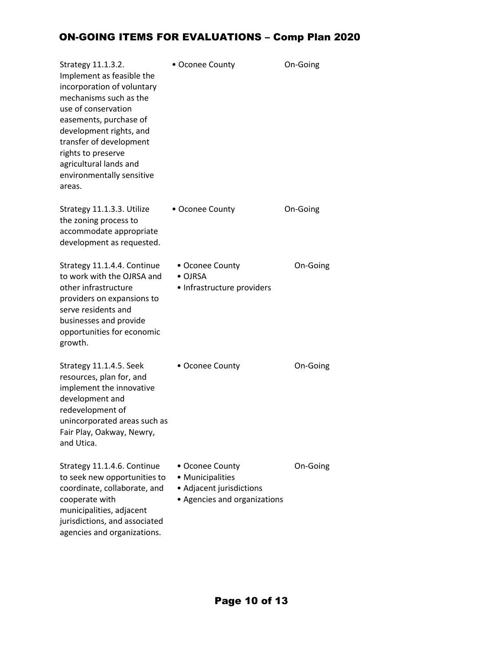| Strategy 11.1.3.2.<br>Implement as feasible the<br>incorporation of voluntary<br>mechanisms such as the<br>use of conservation<br>easements, purchase of<br>development rights, and<br>transfer of development<br>rights to preserve<br>agricultural lands and<br>environmentally sensitive<br>areas. | • Oconee County                                                                                 | On-Going |
|-------------------------------------------------------------------------------------------------------------------------------------------------------------------------------------------------------------------------------------------------------------------------------------------------------|-------------------------------------------------------------------------------------------------|----------|
| Strategy 11.1.3.3. Utilize<br>the zoning process to<br>accommodate appropriate<br>development as requested.                                                                                                                                                                                           | • Oconee County                                                                                 | On-Going |
| Strategy 11.1.4.4. Continue<br>to work with the OJRSA and<br>other infrastructure<br>providers on expansions to<br>serve residents and<br>businesses and provide<br>opportunities for economic<br>growth.                                                                                             | • Oconee County<br>$\bullet$ OJRSA<br>• Infrastructure providers                                | On-Going |
| Strategy 11.1.4.5. Seek<br>resources, plan for, and<br>implement the innovative<br>development and<br>redevelopment of<br>unincorporated areas such as<br>Fair Play, Oakway, Newry,<br>and Utica.                                                                                                     | • Oconee County                                                                                 | On-Going |
| Strategy 11.1.4.6. Continue<br>to seek new opportunities to<br>coordinate, collaborate, and<br>cooperate with<br>municipalities, adjacent<br>jurisdictions, and associated<br>agencies and organizations.                                                                                             | • Oconee County<br>• Municipalities<br>• Adjacent jurisdictions<br>• Agencies and organizations | On-Going |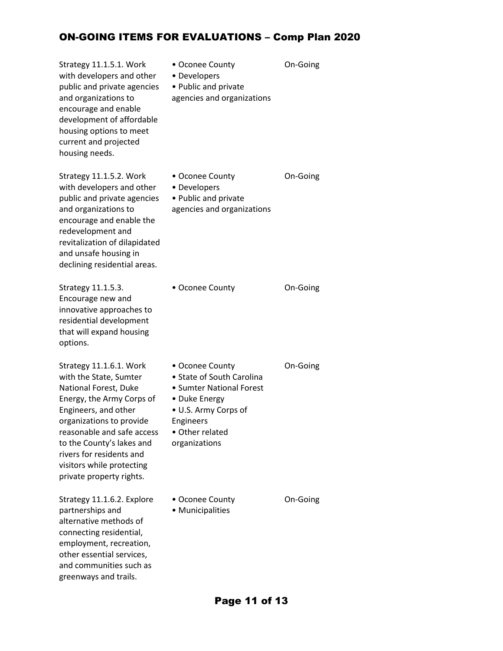| Strategy 11.1.5.1. Work<br>with developers and other<br>public and private agencies<br>and organizations to<br>encourage and enable<br>development of affordable<br>housing options to meet<br>current and projected<br>housing needs.                                                                      | • Oconee County<br>• Developers<br>• Public and private<br>agencies and organizations                                                                                     | On-Going |
|-------------------------------------------------------------------------------------------------------------------------------------------------------------------------------------------------------------------------------------------------------------------------------------------------------------|---------------------------------------------------------------------------------------------------------------------------------------------------------------------------|----------|
| Strategy 11.1.5.2. Work<br>with developers and other<br>public and private agencies<br>and organizations to<br>encourage and enable the<br>redevelopment and<br>revitalization of dilapidated<br>and unsafe housing in<br>declining residential areas.                                                      | • Oconee County<br>• Developers<br>• Public and private<br>agencies and organizations                                                                                     | On-Going |
| Strategy 11.1.5.3.<br>Encourage new and<br>innovative approaches to<br>residential development<br>that will expand housing<br>options.                                                                                                                                                                      | • Oconee County                                                                                                                                                           | On-Going |
| Strategy 11.1.6.1. Work<br>with the State, Sumter<br>National Forest, Duke<br>Energy, the Army Corps of<br>Engineers, and other<br>organizations to provide<br>reasonable and safe access<br>to the County's lakes and<br>rivers for residents and<br>visitors while protecting<br>private property rights. | • Oconee County<br>• State of South Carolina<br>• Sumter National Forest<br>• Duke Energy<br>• U.S. Army Corps of<br><b>Engineers</b><br>• Other related<br>organizations | On-Going |
| Strategy 11.1.6.2. Explore<br>partnerships and<br>alternative methods of<br>connecting residential,<br>employment, recreation,<br>other essential services,<br>and communities such as<br>greenways and trails.                                                                                             | • Oconee County<br>• Municipalities                                                                                                                                       | On-Going |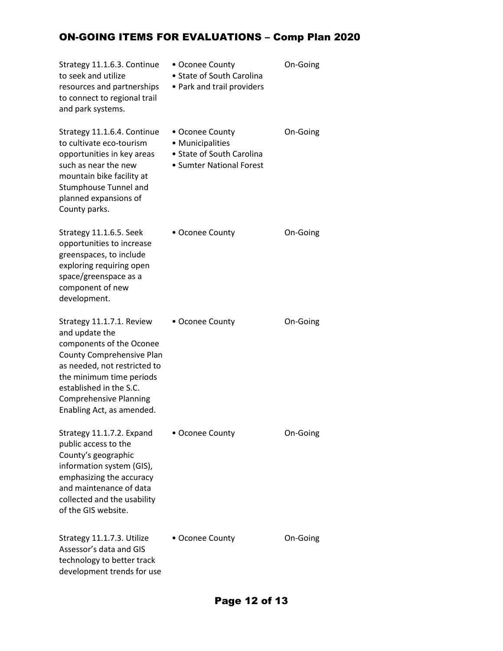| Strategy 11.1.6.3. Continue<br>to seek and utilize<br>resources and partnerships<br>to connect to regional trail<br>and park systems.                                                                                                                     | • Oconee County<br>• State of South Carolina<br>• Park and trail providers                   | On-Going |
|-----------------------------------------------------------------------------------------------------------------------------------------------------------------------------------------------------------------------------------------------------------|----------------------------------------------------------------------------------------------|----------|
| Strategy 11.1.6.4. Continue<br>to cultivate eco-tourism<br>opportunities in key areas<br>such as near the new<br>mountain bike facility at<br><b>Stumphouse Tunnel and</b><br>planned expansions of<br>County parks.                                      | • Oconee County<br>• Municipalities<br>• State of South Carolina<br>• Sumter National Forest | On-Going |
| Strategy 11.1.6.5. Seek<br>opportunities to increase<br>greenspaces, to include<br>exploring requiring open<br>space/greenspace as a<br>component of new<br>development.                                                                                  | • Oconee County                                                                              | On-Going |
| Strategy 11.1.7.1. Review<br>and update the<br>components of the Oconee<br>County Comprehensive Plan<br>as needed, not restricted to<br>the minimum time periods<br>established in the S.C.<br><b>Comprehensive Planning</b><br>Enabling Act, as amended. | • Oconee County                                                                              | On-Going |
| Strategy 11.1.7.2. Expand<br>public access to the<br>County's geographic<br>information system (GIS),<br>emphasizing the accuracy<br>and maintenance of data<br>collected and the usability<br>of the GIS website.                                        | • Oconee County                                                                              | On-Going |
| Strategy 11.1.7.3. Utilize<br>Assessor's data and GIS<br>technology to better track<br>development trends for use                                                                                                                                         | • Oconee County                                                                              | On-Going |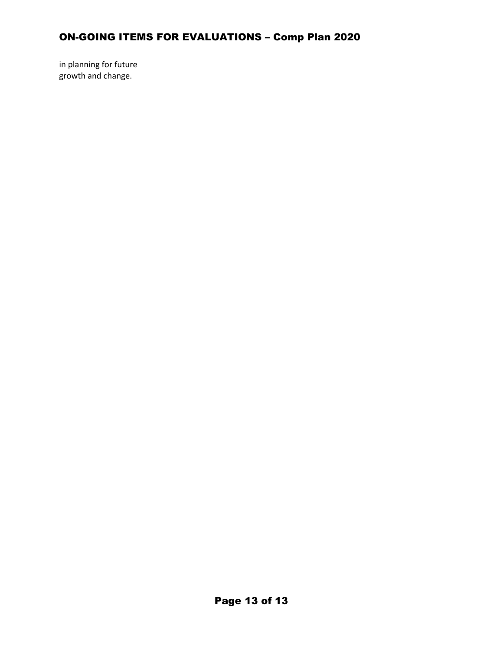in planning for future growth and change.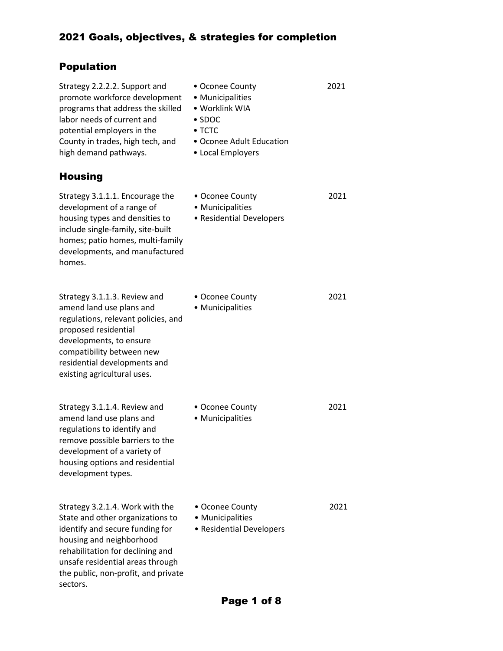### Population

Strategy 2.2.2.2. Support and promote workforce development programs that address the skilled labor needs of current and potential employers in the County in trades, high tech, and high demand pathways.

### Housing

Strategy 3.1.1.1. Encourage the development of a range of housing types and densities to include single-family, site-built homes; patio homes, multi-family developments, and manufactured homes.

Strategy 3.1.1.3. Review and amend land use plans and regulations, relevant policies, and proposed residential developments, to ensure compatibility between new residential developments and existing agricultural uses.

Strategy 3.1.1.4. Review and amend land use plans and regulations to identify and remove possible barriers to the development of a variety of housing options and residential development types.

Strategy 3.2.1.4. Work with the State and other organizations to identify and secure funding for housing and neighborhood rehabilitation for declining and unsafe residential areas through the public, non-profit, and private sectors.

• Oconee County

2021

2021

• Municipalities

- Worklink WIA
- SDOC
- TCTC
- Oconee Adult Education
- Local Employers

• Oconee County • Municipalities

• Residential Developers • Oconee County • Municipalities 2021 • Oconee County • Municipalities 2021 • Oconee County • Municipalities • Residential Developers 2021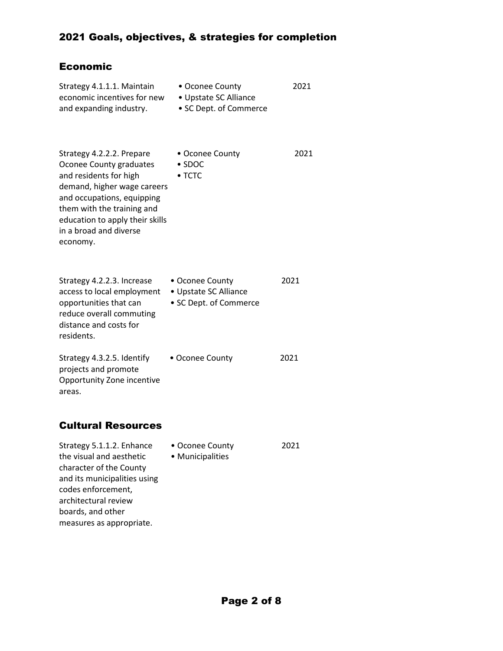### Economic

| Strategy 4.1.1.1. Maintain<br>economic incentives for new<br>and expanding industry.                                                                                                                                                               | • Oconee County<br>• Upstate SC Alliance<br>• SC Dept. of Commerce | 2021 |
|----------------------------------------------------------------------------------------------------------------------------------------------------------------------------------------------------------------------------------------------------|--------------------------------------------------------------------|------|
| Strategy 4.2.2.2. Prepare<br>Oconee County graduates<br>and residents for high<br>demand, higher wage careers<br>and occupations, equipping<br>them with the training and<br>education to apply their skills<br>in a broad and diverse<br>economy. | • Oconee County<br>$\bullet$ SDOC<br>$\bullet$ TCTC                | 2021 |
| Strategy 4.2.2.3. Increase<br>access to local employment<br>opportunities that can<br>reduce overall commuting<br>distance and costs for<br>residents.                                                                                             | • Oconee County<br>• Upstate SC Alliance<br>• SC Dept. of Commerce | 2021 |
| Strategy 4.3.2.5. Identify<br>projects and promote<br>Opportunity Zone incentive<br>areas.                                                                                                                                                         | • Oconee County                                                    | 2021 |
| <b>Cultural Resources</b>                                                                                                                                                                                                                          |                                                                    |      |
| Strategy 5.1.1.2. Enhance                                                                                                                                                                                                                          | • Oconee County                                                    | 2021 |

the visual and aesthetic character of the County and its municipalities using codes enforcement, architectural review boards, and other measures as appropriate.

• Municipalities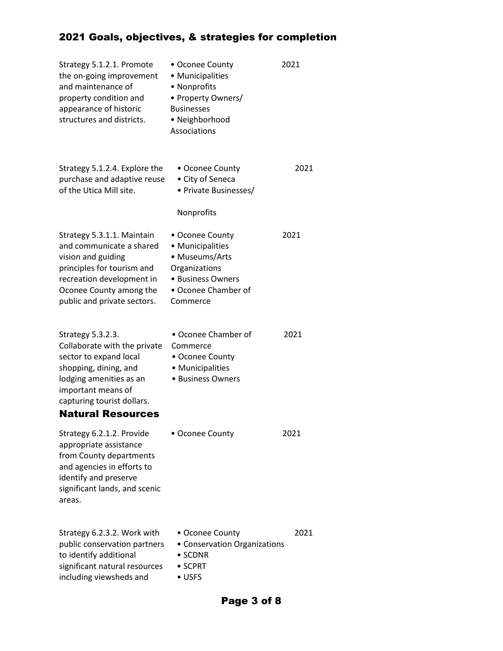| Strategy 5.1.2.1. Promote<br>the on-going improvement<br>and maintenance of<br>property condition and<br>appearance of historic<br>structures and districts.                                                    | • Oconee County<br>• Municipalities<br>• Nonprofits<br>• Property Owners/<br><b>Businesses</b><br>• Neighborhood<br>Associations | 2021 |
|-----------------------------------------------------------------------------------------------------------------------------------------------------------------------------------------------------------------|----------------------------------------------------------------------------------------------------------------------------------|------|
| Strategy 5.1.2.4. Explore the<br>purchase and adaptive reuse<br>of the Utica Mill site.                                                                                                                         | • Oconee County<br>• City of Seneca<br>• Private Businesses/<br>Nonprofits                                                       | 2021 |
| Strategy 5.3.1.1. Maintain<br>and communicate a shared<br>vision and guiding<br>principles for tourism and<br>recreation development in<br>Oconee County among the<br>public and private sectors.               | • Oconee County<br>• Municipalities<br>• Museums/Arts<br>Organizations<br>• Business Owners<br>• Oconee Chamber of<br>Commerce   | 2021 |
| Strategy 5.3.2.3.<br>Collaborate with the private<br>sector to expand local<br>shopping, dining, and<br>lodging amenities as an<br>important means of<br>capturing tourist dollars.<br><b>Natural Resources</b> | • Oconee Chamber of<br>Commerce<br>• Oconee County<br>• Municipalities<br>· Business Owners                                      | 2021 |
| Strategy 6.2.1.2. Provide<br>appropriate assistance<br>from County departments<br>and agencies in efforts to<br>identify and preserve<br>significant lands, and scenic<br>areas.                                | • Oconee County                                                                                                                  | 2021 |
| Strategy 6.2.3.2. Work with<br>public conservation partners<br>to identify additional<br>significant natural resources<br>including viewsheds and                                                               | • Oconee County<br>• Conservation Organizations<br>$\bullet$ SCDNR<br>• SCPRT<br>• USFS                                          | 2021 |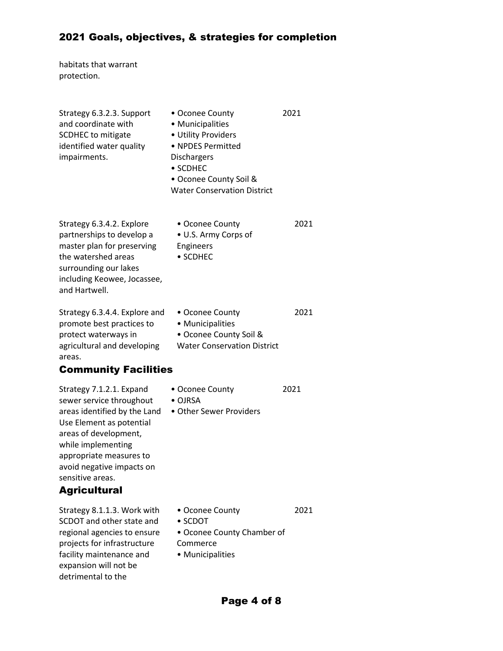habitats that warrant protection.

| Strategy 6.3.2.3. Support<br>and coordinate with<br><b>SCDHEC to mitigate</b><br>identified water quality<br>impairments.                                                                                                                                          | • Oconee County<br>• Municipalities<br>• Utility Providers<br>• NPDES Permitted<br><b>Dischargers</b><br>• SCDHEC<br>• Oconee County Soil &<br><b>Water Conservation District</b> | 2021 |
|--------------------------------------------------------------------------------------------------------------------------------------------------------------------------------------------------------------------------------------------------------------------|-----------------------------------------------------------------------------------------------------------------------------------------------------------------------------------|------|
| Strategy 6.3.4.2. Explore<br>partnerships to develop a<br>master plan for preserving<br>the watershed areas<br>surrounding our lakes<br>including Keowee, Jocassee,<br>and Hartwell.                                                                               | • Oconee County<br>• U.S. Army Corps of<br>Engineers<br>• SCDHEC                                                                                                                  | 2021 |
| Strategy 6.3.4.4. Explore and<br>promote best practices to<br>protect waterways in<br>agricultural and developing<br>areas.<br><b>Community Facilities</b>                                                                                                         | • Oconee County<br>• Municipalities<br>· Oconee County Soil &<br><b>Water Conservation District</b>                                                                               | 2021 |
| Strategy 7.1.2.1. Expand<br>sewer service throughout<br>areas identified by the Land<br>Use Element as potential<br>areas of development,<br>while implementing<br>appropriate measures to<br>avoid negative impacts on<br>sensitive areas.<br><b>Agricultural</b> | • Oconee County<br>$\bullet$ OJRSA<br>• Other Sewer Providers                                                                                                                     | 2021 |
| Strategy 8.1.1.3. Work with<br>SCDOT and other state and<br>regional agencies to ensure<br>projects for infrastructure<br>facility maintenance and<br>expansion will not be<br>detrimental to the                                                                  | • Oconee County<br>• SCDOT<br>• Oconee County Chamber of<br>Commerce<br>• Municipalities                                                                                          | 2021 |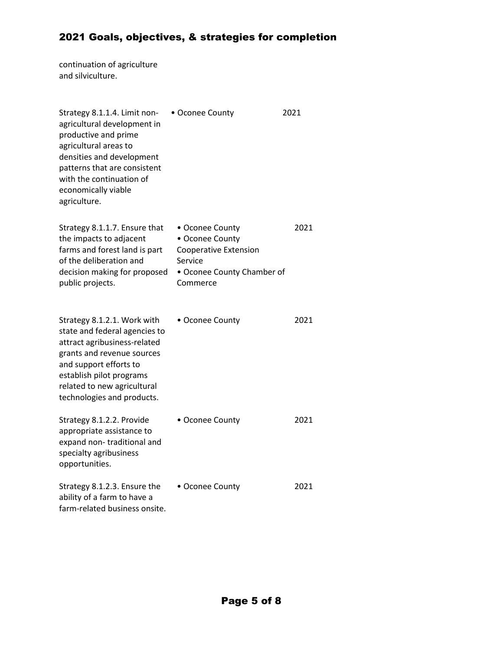continuation of agriculture and silviculture.

| Strategy 8.1.1.4. Limit non-<br>agricultural development in<br>productive and prime<br>agricultural areas to<br>densities and development<br>patterns that are consistent<br>with the continuation of<br>economically viable<br>agriculture.  | • Oconee County                                                                                                         | 2021 |
|-----------------------------------------------------------------------------------------------------------------------------------------------------------------------------------------------------------------------------------------------|-------------------------------------------------------------------------------------------------------------------------|------|
| Strategy 8.1.1.7. Ensure that<br>the impacts to adjacent<br>farms and forest land is part<br>of the deliberation and<br>decision making for proposed<br>public projects.                                                                      | • Oconee County<br>• Oconee County<br><b>Cooperative Extension</b><br>Service<br>• Oconee County Chamber of<br>Commerce | 2021 |
| Strategy 8.1.2.1. Work with<br>state and federal agencies to<br>attract agribusiness-related<br>grants and revenue sources<br>and support efforts to<br>establish pilot programs<br>related to new agricultural<br>technologies and products. | • Oconee County                                                                                                         | 2021 |
| Strategy 8.1.2.2. Provide<br>appropriate assistance to<br>expand non-traditional and<br>specialty agribusiness<br>opportunities.                                                                                                              | • Oconee County                                                                                                         | 2021 |
| Strategy 8.1.2.3. Ensure the<br>ability of a farm to have a<br>farm-related business onsite.                                                                                                                                                  | • Oconee County                                                                                                         | 2021 |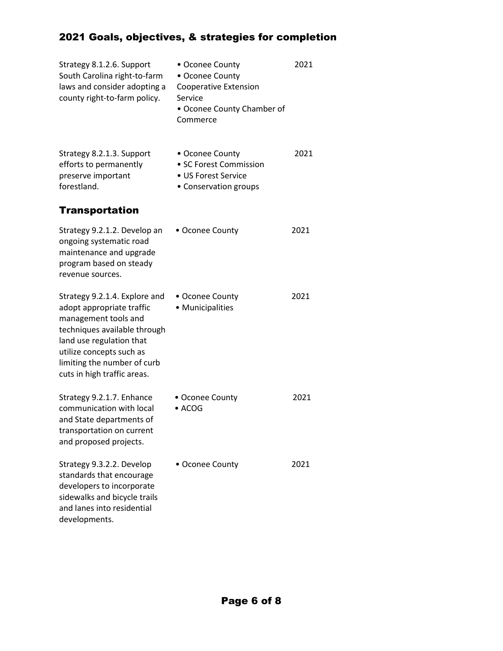| Strategy 8.1.2.6. Support<br>South Carolina right-to-farm<br>laws and consider adopting a<br>county right-to-farm policy.                                                                                                                | • Oconee County<br>• Oconee County<br><b>Cooperative Extension</b><br>Service<br>• Oconee County Chamber of<br>Commerce | 2021 |
|------------------------------------------------------------------------------------------------------------------------------------------------------------------------------------------------------------------------------------------|-------------------------------------------------------------------------------------------------------------------------|------|
| Strategy 8.2.1.3. Support<br>efforts to permanently<br>preserve important<br>forestland.                                                                                                                                                 | • Oconee County<br>• SC Forest Commission<br>• US Forest Service<br>• Conservation groups                               | 2021 |
| <b>Transportation</b>                                                                                                                                                                                                                    |                                                                                                                         |      |
| Strategy 9.2.1.2. Develop an<br>ongoing systematic road<br>maintenance and upgrade<br>program based on steady<br>revenue sources.                                                                                                        | • Oconee County                                                                                                         | 2021 |
| Strategy 9.2.1.4. Explore and<br>adopt appropriate traffic<br>management tools and<br>techniques available through<br>land use regulation that<br>utilize concepts such as<br>limiting the number of curb<br>cuts in high traffic areas. | • Oconee County<br>• Municipalities                                                                                     | 2021 |
| Strategy 9.2.1.7. Enhance<br>communication with local<br>and State departments of<br>transportation on current<br>and proposed projects.                                                                                                 | • Oconee County<br>$\bullet$ ACOG                                                                                       | 2021 |
| Strategy 9.3.2.2. Develop<br>standards that encourage<br>developers to incorporate<br>sidewalks and bicycle trails<br>and lanes into residential<br>developments.                                                                        | • Oconee County                                                                                                         | 2021 |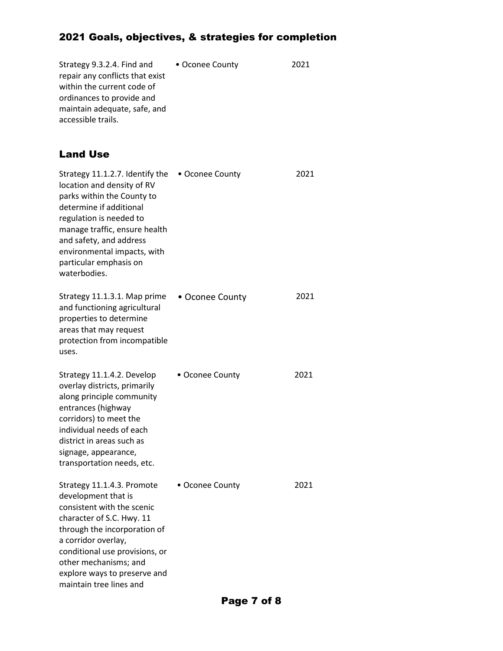| Strategy 9.3.2.4. Find and<br>repair any conflicts that exist<br>within the current code of<br>ordinances to provide and<br>maintain adequate, safe, and<br>accessible trails.                                                                                         | • Oconee County | 2021 |
|------------------------------------------------------------------------------------------------------------------------------------------------------------------------------------------------------------------------------------------------------------------------|-----------------|------|
| <b>Land Use</b>                                                                                                                                                                                                                                                        |                 |      |
| Strategy 11.1.2.7. Identify the<br>location and density of RV<br>parks within the County to<br>determine if additional<br>regulation is needed to<br>manage traffic, ensure health<br>and safety, and address<br>environmental impacts, with<br>narticular emnhacis on | • Oconee County | 2021 |

| determine if additional<br>regulation is needed to<br>manage traffic, ensure health<br>and safety, and address<br>environmental impacts, with<br>particular emphasis on<br>waterbodies.                                                                                                   |                 |      |
|-------------------------------------------------------------------------------------------------------------------------------------------------------------------------------------------------------------------------------------------------------------------------------------------|-----------------|------|
| Strategy 11.1.3.1. Map prime<br>and functioning agricultural<br>properties to determine<br>areas that may request<br>protection from incompatible<br>uses.                                                                                                                                | • Oconee County | 2021 |
| Strategy 11.1.4.2. Develop<br>overlay districts, primarily<br>along principle community<br>entrances (highway<br>corridors) to meet the<br>individual needs of each<br>district in areas such as<br>signage, appearance,<br>transportation needs, etc.                                    | • Oconee County | 2021 |
| Strategy 11.1.4.3. Promote<br>development that is<br>consistent with the scenic<br>character of S.C. Hwy. 11<br>through the incorporation of<br>a corridor overlay,<br>conditional use provisions, or<br>other mechanisms; and<br>explore ways to preserve and<br>maintain tree lines and | • Oconee County | 2021 |